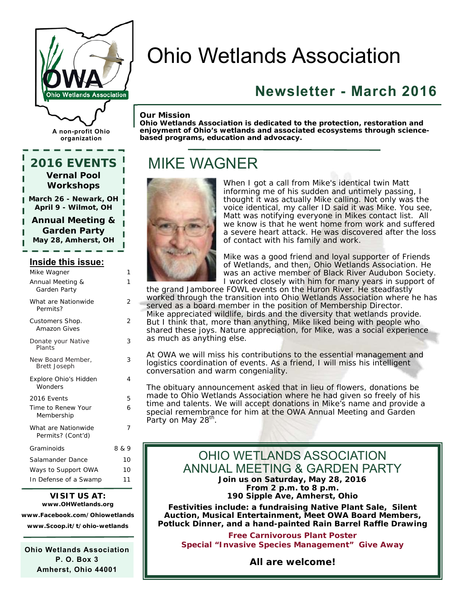

# Ohio Wetlands Association

### **Newsletter - March 2016**

#### *Our Mission*

*Ohio Wetlands Association is dedicated to the protection, restoration and enjoyment of Ohio's wetlands and associated ecosystems through sciencebased programs, education and advocacy.* 

### MIKE WAGNER



When I got a call from Mike's identical twin Matt informing me of his sudden and untimely passing, I thought it was actually Mike calling. Not only was the voice identical, my caller ID said it was Mike. You see, Matt was notifying everyone in Mikes contact list. All we know is that he went home from work and suffered a severe heart attack. He was discovered after the loss of contact with his family and work.

Mike was a good friend and loyal supporter of Friends of Wetlands, and then, Ohio Wetlands Association. He was an active member of Black River Audubon Society. I worked closely with him for many years in support of

the grand Jamboree FOWL events on the Huron River. He steadfastly worked through the transition into Ohio Wetlands Association where he has served as a board member in the position of Membership Director. Mike appreciated wildlife, birds and the diversity that wetlands provide. But I think that, more than anything, Mike liked being with people who

shared these joys. Nature appreciation, for Mike, was a social experience as much as anything else.

At OWA we will miss his contributions to the essential management and logistics coordination of events. As a friend, I will miss his intelligent conversation and warm congeniality.

The obituary announcement asked that in lieu of flowers, donations be made to Ohio Wetlands Association where he had given so freely of his time and talents. We will accept donations in Mike's name and provide a special remembrance for him at the OWA Annual Meeting and Garden Party on May 28<sup>th</sup>.

#### OHIO WETLANDS ASSOCIATION ANNUAL MEETING & GARDEN PARTY **Join us on Saturday, May 28, 2016 From 2 p.m. to 8 p.m. 190 Sipple Ave, Amherst, Ohio**

*Festivities include: a fundraising Native Plant Sale, Silent Auction, Musical Entertainment, Meet OWA Board Members, Potluck Dinner, and a hand-painted Rain Barrel Raffle Drawing* 

*Free Carnivorous Plant Poster Special "Invasive Species Management" Give Away* 

**All are welcome!** 

**A non-profit Ohio organization** 

### **2016 EVENTS Vernal Pool Workshops**

**March 26 - Newark, OH April 9 - Wilmot, OH** 

**Annual Meeting & Garden Party May 28, Amherst, OH** 

#### **Inside this issue:**

| Mike Wagner                              | 1     |
|------------------------------------------|-------|
| Annual Meeting &<br>Garden Party         | 1     |
| What are Nationwide<br>Permits?          | 2     |
| Customers Shop.<br><b>Amazon Gives</b>   | 2     |
| Donate your Native<br>Plants             | 3     |
| New Board Member,<br><b>Brett Joseph</b> | 3     |
| Explore Ohio's Hidden<br>Wonders         | 4     |
| 2016 Events                              | 5     |
| Time to Renew Your<br>Membership         | 6     |
| What are Nationwide<br>Permits? (Cont'd) | 7     |
| Graminoids                               | 8 & 9 |
| Salamander Dance                         | 10    |
| Ways to Support OWA                      | 10    |
| In Defense of a Swamp                    | 11    |

#### **VISIT US AT: www.OHWetlands.org**

**www.Facebook.com/Ohiowetlands www.Scoop.it/t/ohio-wetlands** 

**Ohio Wetlands Association P. O. Box 3 Amherst, Ohio 44001**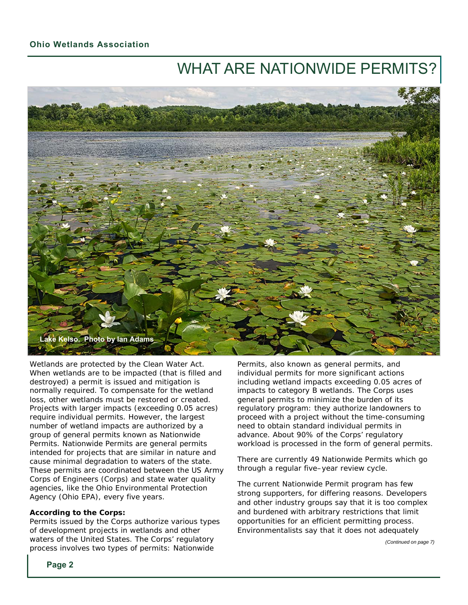### WHAT ARE NATIONWIDE PERMITS?



Wetlands are protected by the Clean Water Act. When wetlands are to be impacted (that is filled and destroyed) a permit is issued and mitigation is normally required. To compensate for the wetland loss, other wetlands must be restored or created. Projects with larger impacts (exceeding 0.05 acres) require individual permits. However, the largest number of wetland impacts are authorized by a group of general permits known as Nationwide Permits. Nationwide Permits are general permits intended for projects that are similar in nature and cause minimal degradation to waters of the state. These permits are coordinated between the US Army Corps of Engineers (Corps) and state water quality agencies, like the Ohio Environmental Protection Agency (Ohio EPA), every five years.

#### **According to the Corps:**

Permits issued by the Corps authorize various types of development projects in wetlands and other waters of the United States. The Corps' regulatory process involves two types of permits: Nationwide

Permits, also known as general permits, and individual permits for more significant actions including wetland impacts exceeding 0.05 acres of impacts to category B wetlands. The Corps uses general permits to minimize the burden of its regulatory program: they authorize landowners to proceed with a project without the time-consuming need to obtain standard individual permits in advance. About 90% of the Corps' regulatory workload is processed in the form of general permits.

There are currently 49 Nationwide Permits which go through a regular five–year review cycle.

The current Nationwide Permit program has few strong supporters, for differing reasons. Developers and other industry groups say that it is too complex and burdened with arbitrary restrictions that limit opportunities for an efficient permitting process. Environmentalists say that it does not adequately

*(Continued on page 7)*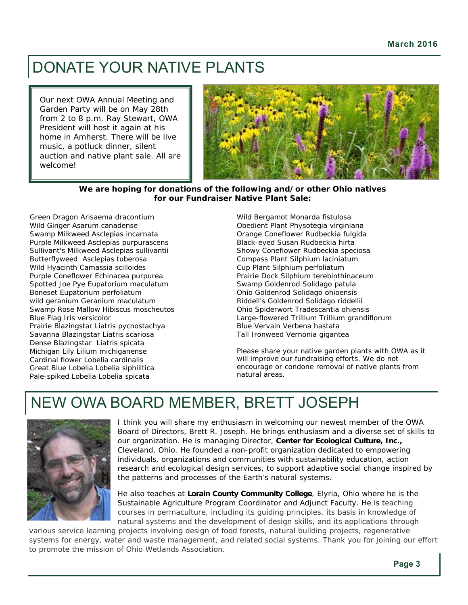### DONATE YOUR NATIVE PLANTS

Our next OWA Annual Meeting and Garden Party will be on May 28th from 2 to 8 p.m. Ray Stewart, OWA President will host it again at his home in Amherst. There will be live music, a potluck dinner, silent auction and native plant sale. All are welcome!



#### **We are hoping for donations of the following and/or other Ohio natives for our Fundraiser Native Plant Sale:**

Green Dragon *Arisaema dracontium* Wild Ginger *Asarum canadense* Swamp Milkweed *Asclepias incarnata* Purple Milkweed *Asclepias purpurascens* Sullivant's Milkweed *Asclepias sullivantii* Butterflyweed *Asclepias tuberosa* Wild Hyacinth *Camassia scilloides* Purple Coneflower *Echinacea purpurea* Spotted Joe Pye *Eupatorium maculatum* Boneset *Eupatorium perfoliatum* wild geranium *Geranium maculatum* Swamp Rose Mallow *Hibiscus moscheutos* Blue Flag *Iris versicolor*  Prairie Blazingstar *Liatris pycnostachya* Savanna Blazingstar *Liatris scariosa*  Dense Blazingstar *Liatris spicata* Michigan Lily *Lilium michiganense* Cardinal flower *Lobelia cardinalis* Great Blue Lobelia *Lobelia siphilitica* Pale-spiked Lobelia *Lobelia spicata*

Wild Bergamot *Monarda fistulosa* Obedient Plant *Physotegia virginiana* Orange Coneflower *Rudbeckia fulgida* Black-eyed Susan *Rudbeckia hirta* Showy Coneflower *Rudbeckia speciosa* Compass Plant *Silphium laciniatum* Cup Plant *Silphium perfoliatum* Prairie Dock *Silphium terebinthinaceum* Swamp Goldenrod *Solidago patula* Ohio Goldenrod *Solidago ohioensis* Riddell's Goldenrod *Solidago riddellii* Ohio Spiderwort *Tradescantia ohiensis* Large-flowered Trillium *Trillium grandiflorum* Blue Vervain *Verbena hastata* Tall Ironweed *Vernonia gigantea*

Please share your native garden plants with OWA as it will improve our fundraising efforts. We do not encourage or condone removal of native plants from natural areas.

### NEW OWA BOARD MEMBER, BRETT JOSEPH



I think you will share my enthusiasm in welcoming our newest member of the OWA Board of Directors, Brett R. Joseph. He brings enthusiasm and a diverse set of skills to our organization. He is managing Director, *Center for Ecological Culture, Inc.,* Cleveland, Ohio. He founded a non-profit organization dedicated to empowering individuals, organizations and communities with sustainability education, action research and ecological design services, to support adaptive social change inspired by the patterns and processes of the Earth's natural systems.

He also teaches at *Lorain County Community College*, Elyria, Ohio where he is the Sustainable Agriculture Program Coordinator and Adjunct Faculty. He is teaching courses in permaculture, including its guiding principles, its basis in knowledge of natural systems and the development of design skills, and its applications through

various service learning projects involving design of food forests, natural building projects, regenerative systems for energy, water and waste management, and related social systems. Thank you for joining our effort to promote the mission of Ohio Wetlands Association.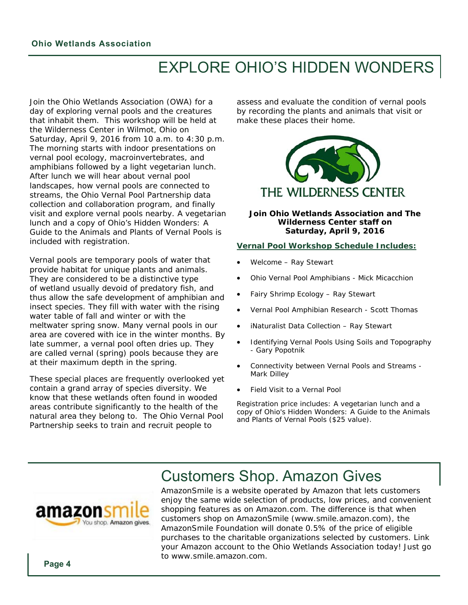### EXPLORE OHIO'S HIDDEN WONDERS

Join the Ohio Wetlands Association (OWA) for a day of exploring vernal pools and the creatures that inhabit them. This workshop will be held at the Wilderness Center in Wilmot, Ohio on Saturday, April 9, 2016 from 10 a.m. to 4:30 p.m. The morning starts with indoor presentations on vernal pool ecology, macroinvertebrates, and amphibians followed by a light vegetarian lunch. After lunch we will hear about vernal pool landscapes, how vernal pools are connected to streams, the Ohio Vernal Pool Partnership data collection and collaboration program, and finally visit and explore vernal pools nearby. A vegetarian lunch and a copy of *Ohio's Hidden Wonders: A Guide to the Animals and Plants of Vernal Pools* is included with registration.

Vernal pools are temporary pools of water that provide habitat for unique plants and animals. They are considered to be a distinctive type of wetland usually devoid of predatory fish, and thus allow the safe development of amphibian and insect species. They fill with water with the rising water table of fall and winter or with the meltwater spring snow. Many vernal pools in our area are covered with ice in the winter months. By late summer, a vernal pool often dries up. They are called vernal (spring) pools because they are at their maximum depth in the spring.

These special places are frequently overlooked yet contain a grand array of species diversity. We know that these wetlands often found in wooded areas contribute significantly to the health of the natural area they belong to. The Ohio Vernal Pool Partnership seeks to train and recruit people to

assess and evaluate the condition of vernal pools by recording the plants and animals that visit or make these places their home.



#### **Join Ohio Wetlands Association and The Wilderness Center staff on Saturday, April 9, 2016**

#### **Vernal Pool Workshop Schedule Includes:**

- Welcome Ray Stewart
- Ohio Vernal Pool Amphibians Mick Micacchion
- Fairy Shrimp Ecology Ray Stewart
- Vernal Pool Amphibian Research Scott Thomas
- iNaturalist Data Collection Ray Stewart
- Identifying Vernal Pools Using Soils and Topography - Gary Popotnik
- Connectivity between Vernal Pools and Streams Mark Dilley
- Field Visit to a Vernal Pool

Registration price includes: A vegetarian lunch and a copy of Ohio's Hidden Wonders: A Guide to the Animals and Plants of Vernal Pools (\$25 value).

### Customers Shop. Amazon Gives



AmazonSmile is a website operated by Amazon that lets customers enjoy the same wide selection of products, low prices, and convenient shopping features as on Amazon.com. The difference is that when customers shop on AmazonSmile (www.smile.amazon.com), the AmazonSmile Foundation will donate 0.5% of the price of eligible purchases to the charitable organizations selected by customers. Link your Amazon account to the Ohio Wetlands Association today! Just go to www.smile.amazon.com.

**Page 4**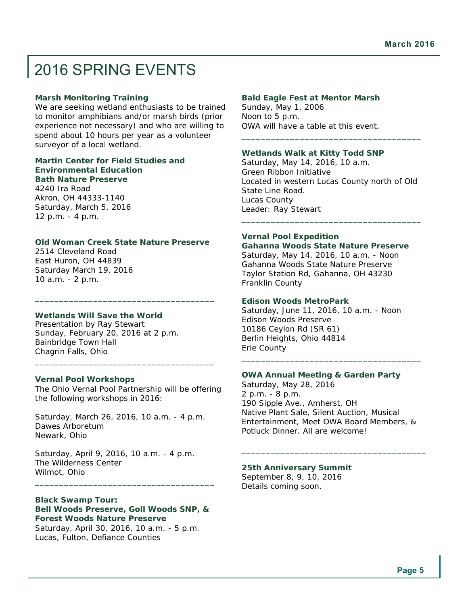### 2016 SPRING EVENTS

#### **Marsh Monitoring Training**

We are seeking wetland enthusiasts to be trained to monitor amphibians and/or marsh birds (prior experience not necessary) and who are willing to spend about 10 hours per year as a volunteer surveyor of a local wetland.

#### **Martin Center for Field Studies and Environmental Education Bath Nature Preserve**

4240 Ira Road Akron, OH 44333-1140 Saturday, March 5, 2016 12 p.m. - 4 p.m.

#### **Old Woman Creek State Nature Preserve**

\_\_\_\_\_\_\_\_\_\_\_\_\_\_\_\_\_\_\_\_\_\_\_\_\_\_\_\_\_\_\_\_\_\_\_\_\_

2514 Cleveland Road East Huron, OH 44839 Saturday March 19, 2016 10 a.m. - 2 p.m.

#### **Wetlands Will Save the World**

Presentation by Ray Stewart Sunday, February 20, 2016 at 2 p.m. Bainbridge Town Hall Chagrin Falls, Ohio

#### **Vernal Pool Workshops**

The Ohio Vernal Pool Partnership will be offering the following workshops in 2016:

\_\_\_\_\_\_\_\_\_\_\_\_\_\_\_\_\_\_\_\_\_\_\_\_\_\_\_\_\_\_\_\_\_\_\_\_\_

Saturday, March 26, 2016, 10 a.m. - 4 p.m. Dawes Arboretum Newark, Ohio

Saturday, April 9, 2016, 10 a.m. - 4 p.m. The Wilderness Center Wilmot, Ohio

#### **Black Swamp Tour:**

**Bell Woods Preserve, Goll Woods SNP, & Forest Woods Nature Preserve**  Saturday, April 30, 2016, 10 a.m. - 5 p.m.

\_\_\_\_\_\_\_\_\_\_\_\_\_\_\_\_\_\_\_\_\_\_\_\_\_\_\_\_\_\_\_\_\_\_\_\_\_

Lucas, Fulton, Defiance Counties

#### **Bald Eagle Fest at Mentor Marsh**

Sunday, May 1, 2006 Noon to 5 p.m. OWA will have a table at this event.

#### **Wetlands Walk at Kitty Todd SNP**

Saturday, May 14, 2016, 10 a.m. Green Ribbon Initiative Located in western Lucas County north of Old State Line Road. Lucas County Leader: Ray Stewart \_\_\_\_\_\_\_\_\_\_\_\_\_\_\_\_\_\_\_\_\_\_\_\_\_\_\_\_\_\_\_\_\_\_\_\_\_

\_\_\_\_\_\_\_\_\_\_\_\_\_\_\_\_\_\_\_\_\_\_\_\_\_\_\_\_\_\_\_\_\_\_\_\_\_

#### **Vernal Pool Expedition**

**Gahanna Woods State Nature Preserve**  Saturday, May 14, 2016, 10 a.m. - Noon Gahanna Woods State Nature Preserve Taylor Station Rd, Gahanna, OH 43230 Franklin County

#### **Edison Woods MetroPark**

Saturday, June 11, 2016, 10 a.m. - Noon Edison Woods Preserve 10186 Ceylon Rd (SR 61) Berlin Heights, Ohio 44814 Erie County

#### **OWA Annual Meeting & Garden Party**

Saturday, May 28, 2016 2 p.m. - 8 p.m. 190 Sipple Ave., Amherst, OH Native Plant Sale, Silent Auction, Musical Entertainment, Meet OWA Board Members, & Potluck Dinner. All are welcome!

\_\_\_\_\_\_\_\_\_\_\_\_\_\_\_\_\_\_\_\_\_\_\_\_\_\_\_\_\_\_\_\_\_\_\_\_\_\_

\_\_\_\_\_\_\_\_\_\_\_\_\_\_\_\_\_\_\_\_\_\_\_\_\_\_\_\_\_\_\_\_\_\_\_\_\_

#### **25th Anniversary Summit**

September 8, 9, 10, 2016 Details coming soon.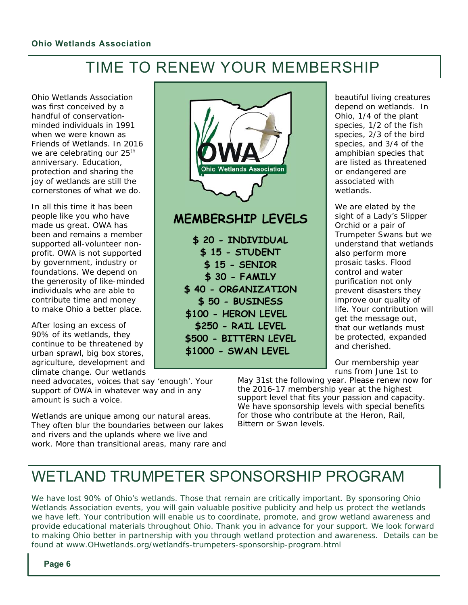### TIME TO RENEW YOUR MEMBERSHIP

Ohio Wetlands Association was first conceived by a handful of conservationminded individuals in 1991 when we were known as Friends of Wetlands. In 2016 we are celebrating our 25<sup>th</sup> anniversary. Education, protection and sharing the joy of wetlands are still the cornerstones of what we do.

In all this time it has been people like you who have made us great. OWA has been and remains a member supported all-volunteer nonprofit. OWA is not supported by government, industry or foundations. We depend on the generosity of like-minded individuals who are able to contribute time and money to make Ohio a better place.

After losing an excess of 90% of its wetlands, they continue to be threatened by urban sprawl, big box stores, agriculture, development and climate change. Our wetlands

need advocates, voices that say 'enough'. Your support of OWA in whatever way and in any amount is such a voice.

Wetlands are unique among our natural areas. They often blur the boundaries between our lakes and rivers and the uplands where we live and work. More than transitional areas, many rare and



### **MEMBERSHIP LEVELS**

**\$ 20 - INDIVIDUAL \$ 15 - STUDENT \$ 15 - SENIOR \$ 30 - FAMILY \$ 40 - ORGANIZATION \$ 50 - BUSINESS \$100 - HERON LEVEL \$250 - RAIL LEVEL \$500 - BITTERN LEVEL \$1000 - SWAN LEVEL** 

beautiful living creatures depend on wetlands. In Ohio, 1/4 of the plant species, 1/2 of the fish species, 2/3 of the bird species, and 3/4 of the amphibian species that are listed as threatened or endangered are associated with wetlands.

We are elated by the sight of a Lady's Slipper Orchid or a pair of Trumpeter Swans but we understand that wetlands also perform more prosaic tasks. Flood control and water purification not only prevent disasters they improve our quality of life. Your contribution will get the message out, that our wetlands must be protected, expanded and cherished.

Our membership year runs from June 1st to

May 31st the following year. Please renew now for the 2016-17 membership year at the highest support level that fits your passion and capacity. We have sponsorship levels with special benefits for those who contribute at the Heron, Rail, Bittern or Swan levels.

### WETLAND TRUMPETER SPONSORSHIP PROGRAM

We have lost 90% of Ohio's wetlands. Those that remain are critically important. By sponsoring Ohio Wetlands Association events, you will gain valuable positive publicity and help us protect the wetlands we have left. Your contribution will enable us to coordinate, promote, and grow wetland awareness and provide educational materials throughout Ohio. Thank you in advance for your support. We look forward to making Ohio better in partnership with you through wetland protection and awareness. Details can be found at www.OHwetlands.org/wetlandfs-trumpeters-sponsorship-program.html

**Page 6**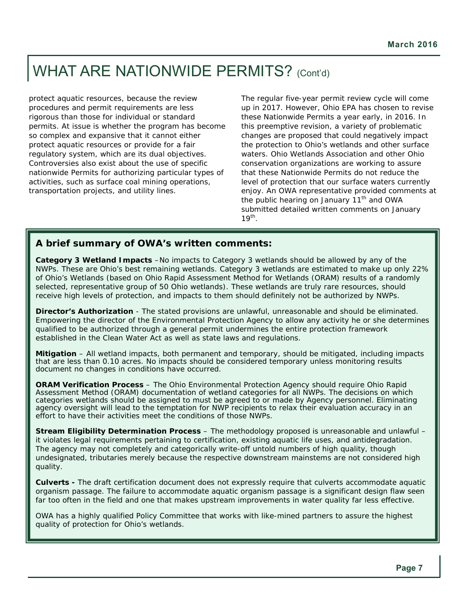### WHAT ARE NATIONWIDE PERMITS? (Cont'd)

protect aquatic resources, because the review procedures and permit requirements are less rigorous than those for individual or standard permits. At issue is whether the program has become so complex and expansive that it cannot either protect aquatic resources or provide for a fair regulatory system, which are its dual objectives. Controversies also exist about the use of specific nationwide Permits for authorizing particular types of activities, such as surface coal mining operations, transportation projects, and utility lines.

The regular five-year permit review cycle will come up in 2017. However, Ohio EPA has chosen to revise these Nationwide Permits a year early, in 2016. In this preemptive revision, a variety of problematic changes are proposed that could negatively impact the protection to Ohio's wetlands and other surface waters. Ohio Wetlands Association and other Ohio conservation organizations are working to assure that these Nationwide Permits do not reduce the level of protection that our surface waters currently enjoy. An OWA representative provided comments at the public hearing on January  $11<sup>th</sup>$  and OWA submitted detailed written comments on January  $19<sup>th</sup>$ .

#### **A brief summary of OWA's written comments:**

**Category 3 Wetland Impacts** –No impacts to Category 3 wetlands should be allowed by any of the NWPs. These are Ohio's best remaining wetlands. Category 3 wetlands are estimated to make up only 22% of Ohio's Wetlands (based on Ohio Rapid Assessment Method for Wetlands (ORAM) results of a randomly selected, representative group of 50 Ohio wetlands). These wetlands are truly rare resources, should receive high levels of protection, and impacts to them should definitely not be authorized by NWPs.

**Director's Authorization** - The stated provisions are unlawful, unreasonable and should be eliminated. Empowering the director of the Environmental Protection Agency to allow any activity he or she determines qualified to be authorized through a general permit undermines the entire protection framework established in the Clean Water Act as well as state laws and regulations.

**Mitigation** – All wetland impacts, both permanent and temporary, should be mitigated, including impacts that are less than 0.10 acres. No impacts should be considered temporary unless monitoring results document no changes in conditions have occurred.

**ORAM Verification Process** – The Ohio Environmental Protection Agency should require Ohio Rapid Assessment Method (ORAM) documentation of wetland categories for all NWPs. The decisions on which categories wetlands should be assigned to must be agreed to or made by Agency personnel. Eliminating agency oversight will lead to the temptation for NWP recipients to relax their evaluation accuracy in an effort to have their activities meet the conditions of those NWPs.

**Stream Eligibility Determination Process** – The methodology proposed is unreasonable and unlawful – it violates legal requirements pertaining to certification, existing aquatic life uses, and antidegradation. The agency may not completely and categorically write-off untold numbers of high quality, though undesignated, tributaries merely because the respective downstream mainstems are not considered high quality.

**Culverts -** The draft certification document does not expressly require that culverts accommodate aquatic organism passage. The failure to accommodate aquatic organism passage is a significant design flaw seen far too often in the field and one that makes upstream improvements in water quality far less effective.

OWA has a highly qualified Policy Committee that works with like-mined partners to assure the highest quality of protection for Ohio's wetlands.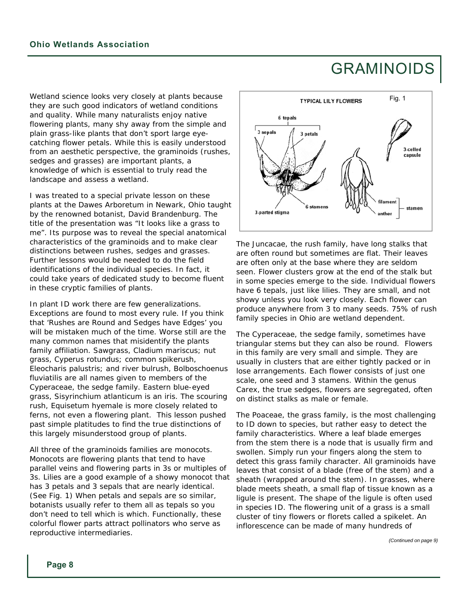### GRAMINOIDS

Wetland science looks very closely at plants because they are such good indicators of wetland conditions and quality. While many naturalists enjoy native flowering plants, many shy away from the simple and plain grass-like plants that don't sport large eyecatching flower petals. While this is easily understood from an aesthetic perspective, the graminoids (rushes, sedges and grasses) are important plants, a knowledge of which is essential to truly read the landscape and assess a wetland.

I was treated to a special private lesson on these plants at the Dawes Arboretum in Newark, Ohio taught by the renowned botanist, David Brandenburg. The title of the presentation was "It looks like a grass to me". Its purpose was to reveal the special anatomical characteristics of the graminoids and to make clear distinctions between rushes, sedges and grasses. Further lessons would be needed to do the field identifications of the individual species. In fact, it could take years of dedicated study to become fluent in these cryptic families of plants.

In plant ID work there are few generalizations. Exceptions are found to most every rule. If you think that 'Rushes are Round and Sedges have Edges' you will be mistaken much of the time. Worse still are the many common names that misidentify the plants family affiliation. Sawgrass, *Cladium mariscus*; nut grass, *Cyperus rotundus;* common spikerush, *Eleocharis palustris;* and river bulrush, *Bolboschoenus fluviatilis* are all names given to members of the Cyperaceae, the sedge family. Eastern blue-eyed grass, *Sisyrinchium atlanticum* is an iris. The scouring rush, *Equisetum hyemale* is more closely related to ferns, not even a flowering plant. This lesson pushed past simple platitudes to find the true distinctions of this largely misunderstood group of plants.

All three of the graminoids families are monocots. Monocots are flowering plants that tend to have parallel veins and flowering parts in 3s or multiples of 3s. Lilies are a good example of a showy monocot that has 3 petals and 3 sepals that are nearly identical. (See Fig. 1) When petals and sepals are so similar, botanists usually refer to them all as tepals so you don't need to tell which is which. Functionally, these colorful flower parts attract pollinators who serve as reproductive intermediaries.



The Juncacae, the rush family, have long stalks that are often round but sometimes are flat. Their leaves are often only at the base where they are seldom seen. Flower clusters grow at the end of the stalk but in some species emerge to the side. Individual flowers have 6 tepals, just like lilies. They are small, and not showy unless you look very closely. Each flower can produce anywhere from 3 to many seeds. 75% of rush family species in Ohio are wetland dependent.

The Cyperaceae, the sedge family, sometimes have triangular stems but they can also be round. Flowers in this family are very small and simple. They are usually in clusters that are either tightly packed or in lose arrangements. Each flower consists of just one scale, one seed and 3 stamens. Within the genus Carex, the true sedges, flowers are segregated, often on distinct stalks as male or female.

The Poaceae, the grass family, is the most challenging to ID down to species, but rather easy to detect the family characteristics. Where a leaf blade emerges from the stem there is a node that is usually firm and swollen. Simply run your fingers along the stem to detect this grass family character. All graminoids have leaves that consist of a blade (free of the stem) and a sheath (wrapped around the stem). In grasses, where blade meets sheath, a small flap of tissue known as a ligule is present. The shape of the ligule is often used in species ID. The flowering unit of a grass is a small cluster of tiny flowers or florets called a spikelet. An inflorescence can be made of many hundreds of

*(Continued on page 9)*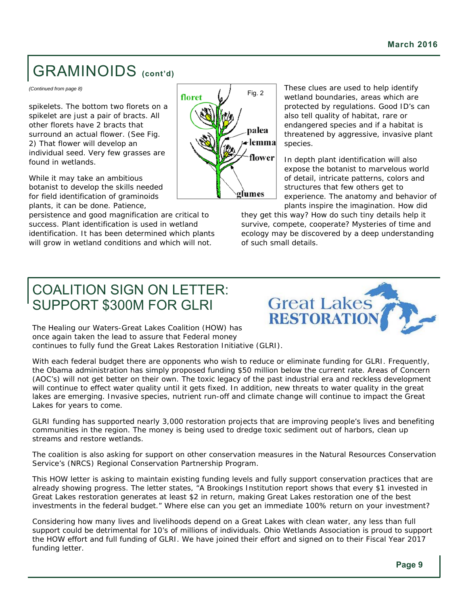## GRAMINOIDS **(cont'd)**

*(Continued from page 8)* 

spikelets. The bottom two florets on a spikelet are just a pair of bracts. All other florets have 2 bracts that surround an actual flower. (See Fig. 2) That flower will develop an individual seed. Very few grasses are found in wetlands.

While it may take an ambitious botanist to develop the skills needed for field identification of graminoids plants, it can be done. Patience,

persistence and good magnification are critical to success. Plant identification is used in wetland identification. It has been determined which plants will grow in wetland conditions and which will not.



These clues are used to help identify wetland boundaries, areas which are protected by regulations. Good ID's can also tell quality of habitat, rare or endangered species and if a habitat is threatened by aggressive, invasive plant species.

In depth plant identification will also expose the botanist to marvelous world of detail, intricate patterns, colors and structures that few others get to experience. The anatomy and behavior of plants inspire the imagination. How did

they get this way? How do such tiny details help it survive, compete, cooperate? Mysteries of time and ecology may be discovered by a deep understanding of such small details.

### COALITION SIGN ON LETTER: SUPPORT \$300M FOR GLRI



The Healing our Waters-Great Lakes Coalition (HOW) has once again taken the lead to assure that Federal money continues to fully fund the Great Lakes Restoration Initiative (GLRI).

With each federal budget there are opponents who wish to reduce or eliminate funding for GLRI. Frequently, the Obama administration has simply proposed funding \$50 million below the current rate. Areas of Concern (AOC's) will not get better on their own. The toxic legacy of the past industrial era and reckless development will continue to effect water quality until it gets fixed. In addition, new threats to water quality in the great lakes are emerging. Invasive species, nutrient run-off and climate change will continue to impact the Great Lakes for years to come.

GLRI funding has supported nearly 3,000 restoration projects that are improving people's lives and benefiting communities in the region. The money is being used to dredge toxic sediment out of harbors, clean up streams and restore wetlands.

The coalition is also asking for support on other conservation measures in the Natural Resources Conservation Service's (NRCS) Regional Conservation Partnership Program.

This HOW letter is asking to maintain existing funding levels and fully support conservation practices that are already showing progress. The letter states, "A Brookings Institution report shows that every \$1 invested in Great Lakes restoration generates at least \$2 in return, making Great Lakes restoration one of the best investments in the federal budget." Where else can you get an immediate 100% return on your investment?

Considering how many lives and livelihoods depend on a Great Lakes with clean water, any less than full support could be detrimental for 10's of millions of individuals. Ohio Wetlands Association is proud to support the HOW effort and full funding of GLRI. We have joined their effort and signed on to their Fiscal Year 2017 funding letter.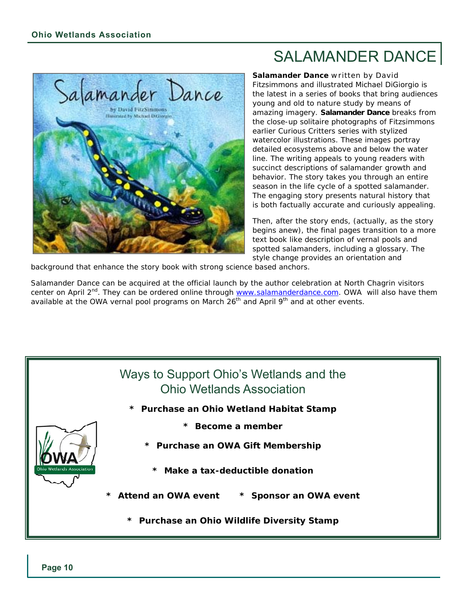

### SALAMANDER DANCE

*Salamander Dance* written by David Fitzsimmons and illustrated Michael DiGiorgio is the latest in a series of books that bring audiences young and old to nature study by means of amazing imagery. *Salamander Dance* breaks from the close-up solitaire photographs of Fitzsimmons earlier *Curious Critters* series with stylized watercolor illustrations. These images portray detailed ecosystems above and below the water line. The writing appeals to young readers with succinct descriptions of salamander growth and behavior. The story takes you through an entire season in the life cycle of a spotted salamander. The engaging story presents natural history that is both factually accurate and curiously appealing.

Then, after the story ends, (actually, as the story begins anew), the final pages transition to a more text book like description of vernal pools and spotted salamanders, including a glossary. The style change provides an orientation and

background that enhance the story book with strong science based anchors.

Salamander Dance can be acquired at the official launch by the author celebration at North Chagrin visitors center on April 2<sup>nd</sup>. They can be ordered online through **www.salamanderdance.com**. OWA will also have them available at the OWA vernal pool programs on March  $26<sup>th</sup>$  and April 9<sup>th</sup> and at other events.

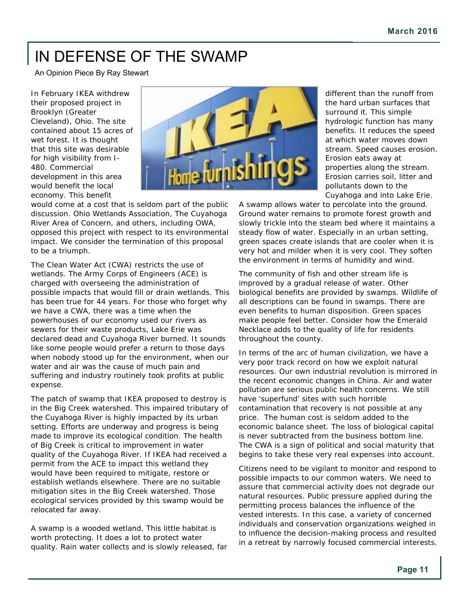## IN DEFENSE OF THE SWAMP

An Opinion Piece By Ray Stewart

In February IKEA withdrew their proposed project in Brooklyn (Greater Cleveland), Ohio. The site contained about 15 acres of wet forest. It is thought that this site was desirable for high visibility from I-480. Commercial development in this area would benefit the local economy. This benefit



would come at a cost that is seldom part of the public discussion. Ohio Wetlands Association, The Cuyahoga River Area of Concern, and others, including OWA, opposed this project with respect to its environmental impact. We consider the termination of this proposal to be a triumph.

The Clean Water Act (CWA) restricts the use of wetlands. The Army Corps of Engineers (ACE) is charged with overseeing the administration of possible impacts that would fill or drain wetlands. This has been true for 44 years. For those who forget why we have a CWA, there was a time when the powerhouses of our economy used our rivers as sewers for their waste products, Lake Erie was declared dead and Cuyahoga River burned. It sounds like some people would prefer a return to those days when nobody stood up for the environment, when our water and air was the cause of much pain and suffering and industry routinely took profits at public expense.

The patch of swamp that IKEA proposed to destroy is in the Big Creek watershed. This impaired tributary of the Cuyahoga River is highly impacted by its urban setting. Efforts are underway and progress is being made to improve its ecological condition. The health of Big Creek is critical to improvement in water quality of the Cuyahoga River. If IKEA had received a permit from the ACE to impact this wetland they would have been required to mitigate, restore or establish wetlands elsewhere. There are no suitable mitigation sites in the Big Creek watershed. Those ecological services provided by this swamp would be relocated far away.

A swamp is a wooded wetland. This little habitat is worth protecting. It does a lot to protect water quality. Rain water collects and is slowly released, far

different than the runoff from the hard urban surfaces that surround it. This simple hydrologic function has many benefits. It reduces the speed at which water moves down stream. Speed causes erosion. Erosion eats away at properties along the stream. Erosion carries soil, litter and pollutants down to the Cuyahoga and into Lake Erie.

A swamp allows water to percolate into the ground. Ground water remains to promote forest growth and slowly trickle into the steam bed where it maintains a steady flow of water. Especially in an urban setting, green spaces create islands that are cooler when it is very hot and milder when it is very cool. They soften the environment in terms of humidity and wind.

The community of fish and other stream life is improved by a gradual release of water. Other biological benefits are provided by swamps. Wildlife of all descriptions can be found in swamps. There are even benefits to human disposition. Green spaces make people feel better. Consider how the Emerald Necklace adds to the quality of life for residents throughout the county.

In terms of the arc of human civilization, we have a very poor track record on how we exploit natural resources. Our own industrial revolution is mirrored in the recent economic changes in China. Air and water pollution are serious public health concerns. We still have 'superfund' sites with such horrible contamination that recovery is not possible at any price. The human cost is seldom added to the economic balance sheet. The loss of biological capital is never subtracted from the business bottom line. The CWA is a sign of political and social maturity that begins to take these very real expenses into account.

Citizens need to be vigilant to monitor and respond to possible impacts to our common waters. We need to assure that commercial activity does not degrade our natural resources. Public pressure applied during the permitting process balances the influence of the vested interests. In this case, a variety of concerned individuals and conservation organizations weighed in to influence the decision-making process and resulted in a retreat by narrowly focused commercial interests.